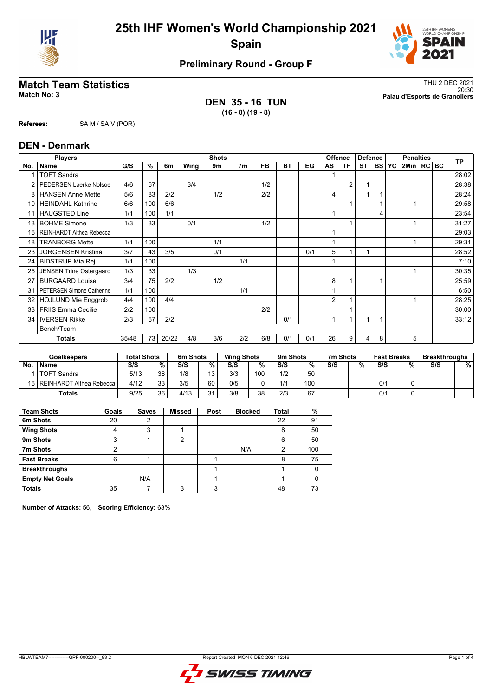



# **Preliminary Round - Group F**

### **DEN 35 - 16 TUN (16 - 8) (19 - 8)**

**Match Team Statistics** Thu 2 DEC 2021 20:30 **Match No: 3 Palau d'Esports de Granollers**

**Referees:** SA M / SA V (POR)

### **DEN - Denmark**

|                 | <b>Players</b>                 |       |     |       |      | <b>Shots</b> |                |     |     |     |                | <b>Offence</b> | <b>Defence</b> |        |    | <b>TP</b>      |  |       |
|-----------------|--------------------------------|-------|-----|-------|------|--------------|----------------|-----|-----|-----|----------------|----------------|----------------|--------|----|----------------|--|-------|
| No.             | <b>Name</b>                    | G/S   | %   | 6m    | Wing | 9m           | 7 <sub>m</sub> | FB  | ВT  | EG  | AS             | ΤF             | ST             | I BS I | YC | 2Min   RC   BC |  |       |
|                 | <b>TOFT Sandra</b>             |       |     |       |      |              |                |     |     |     |                |                |                |        |    |                |  | 28:02 |
| 2               | <b>PEDERSEN Laerke Nolsoe</b>  | 4/6   | 67  |       | 3/4  |              |                | 1/2 |     |     |                | $\overline{2}$ | 1              |        |    |                |  | 28:38 |
| 8               | <b>HANSEN Anne Mette</b>       | 5/6   | 83  | 2/2   |      | 1/2          |                | 2/2 |     |     | 4              |                | 1              |        |    |                |  | 28:24 |
| 10 <sup>1</sup> | <b>HEINDAHL Kathrine</b>       | 6/6   | 100 | 6/6   |      |              |                |     |     |     |                |                |                |        |    |                |  | 29:58 |
| 11              | <b>HAUGSTED Line</b>           | 1/1   | 100 | 1/1   |      |              |                |     |     |     |                |                |                | 4      |    |                |  | 23:54 |
| 13              | <b>BOHME Simone</b>            | 1/3   | 33  |       | 0/1  |              |                | 1/2 |     |     |                |                |                |        |    |                |  | 31:27 |
| 16              | REINHARDT Althea Rebecca       |       |     |       |      |              |                |     |     |     |                |                |                |        |    |                |  | 29:03 |
| 18              | <b>TRANBORG Mette</b>          | 1/1   | 100 |       |      | 1/1          |                |     |     |     |                |                |                |        |    |                |  | 29:31 |
| 23              | <b>JORGENSEN Kristina</b>      | 3/7   | 43  | 3/5   |      | 0/1          |                |     |     | 0/1 | 5              |                | 1              |        |    |                |  | 28:52 |
| 24              | <b>BIDSTRUP Mia Rej</b>        | 1/1   | 100 |       |      |              | 1/1            |     |     |     |                |                |                |        |    |                |  | 7:10  |
| 25              | <b>JENSEN Trine Ostergaard</b> | 1/3   | 33  |       | 1/3  |              |                |     |     |     |                |                |                |        |    |                |  | 30:35 |
| 27              | <b>BURGAARD Louise</b>         | 3/4   | 75  | 2/2   |      | 1/2          |                |     |     |     | 8              |                |                |        |    |                |  | 25:59 |
| 31              | PETERSEN Simone Catherine      | 1/1   | 100 |       |      |              | 1/1            |     |     |     |                |                |                |        |    |                |  | 6:50  |
| 32              | <b>HOJLUND Mie Enggrob</b>     | 4/4   | 100 | 4/4   |      |              |                |     |     |     | $\overline{2}$ |                |                |        |    |                |  | 28:25 |
| 33              | <b>FRIIS Emma Cecilie</b>      | 2/2   | 100 |       |      |              |                | 2/2 |     |     |                |                |                |        |    |                |  | 30:00 |
| 34              | <b>IVERSEN Rikke</b>           | 2/3   | 67  | 2/2   |      |              |                |     | 0/1 |     |                |                | 1              |        |    |                |  | 33:12 |
|                 | Bench/Team                     |       |     |       |      |              |                |     |     |     |                |                |                |        |    |                |  |       |
|                 | <b>Totals</b>                  | 35/48 | 73  | 20/22 | 4/8  | 3/6          | 2/2            | 6/8 | 0/1 | 0/1 | 26             | 9              | 4              | 8      |    | 5              |  |       |

|     | <b>Goalkeepers</b>            | <b>Total Shots</b> |    | 6m Shots |                | <b>Wing Shots</b> |     | 9m Shots |     | 7m Shots |   | <b>Fast Breaks</b> |   | <b>Breakthroughs</b> |   |
|-----|-------------------------------|--------------------|----|----------|----------------|-------------------|-----|----------|-----|----------|---|--------------------|---|----------------------|---|
| No. | <b>Name</b>                   | S/S                | %  | S/S      | %              | S/S               | %   | S/S      | %   | S/S      | % | S/S                | % | S/S                  | % |
|     | <b>TOFT Sandra</b>            | 5/13               | 38 | 1/8      | 13             | 3/3               | 100 | 1/2      | 50  |          |   |                    |   |                      |   |
|     | 16   REINHARDT Althea Rebecca | 4/12               | २२ | 3/5      | 60             | 0/5               |     | 1/1      | 100 |          |   | 0/1                |   |                      |   |
|     | Totals                        | 9/25               | 36 | 4/13     | 2 <sub>1</sub> | 3/8               | 38  | 2/3      | 67  |          |   | 0/1                |   |                      |   |

| <b>Team Shots</b>      | Goals | <b>Saves</b> | <b>Missed</b> | Post | <b>Blocked</b> | <b>Total</b> | %   |
|------------------------|-------|--------------|---------------|------|----------------|--------------|-----|
| 6m Shots               | 20    | 2            |               |      |                | 22           | 91  |
| <b>Wing Shots</b>      |       | 3            |               |      |                | 8            | 50  |
| 9m Shots               | 3     |              | 2             |      |                | 6            | 50  |
| 7m Shots               | າ     |              |               |      | N/A            | 2            | 100 |
| <b>Fast Breaks</b>     | 6     |              |               |      |                | 8            | 75  |
| <b>Breakthroughs</b>   |       |              |               |      |                |              |     |
| <b>Empty Net Goals</b> |       | N/A          |               |      |                |              |     |
| <b>Totals</b>          | 35    |              | 3             | 3    |                | 48           | 73  |

**Number of Attacks:** 56, **Scoring Efficiency:** 63%

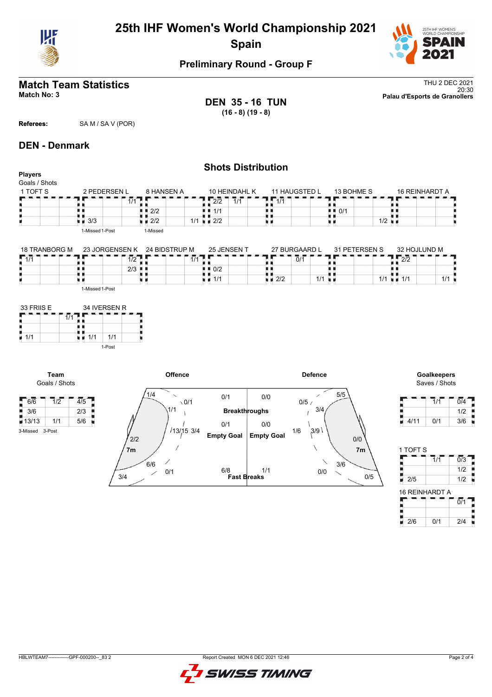

# **25th IHF Women's World Championship 2021 Spain**



## **Preliminary Round - Group F**

# **Match Team Statistics** Thu 2 DEC 2021

**DEN 35 - 16 TUN (16 - 8) (19 - 8)**

20:30 **Match No: 3 Palau d'Esports de Granollers**

**Referees:** SA M / SA V (POR)

### **DEN - Denmark**

### **Shots Distribution Players** Goals / Shots 11 HAUGSTED L 13 BOHME S 1 TOFT S 2 PEDERSEN L 8 HANSEN A 10 HEINDAHL K 16 REINHARDT A  $7.17$ T E F п  $\frac{1}{1/1}$  $2/2$  1/1 A Q A A R. A A  $\frac{1}{2}$  0/1 机电 2/2 ă ș t i  $1/1$ ā  $\frac{1}{1}$  3/3  $\frac{1}{2}$  1 2/2  $1/2$ ■ 2/2 u i üυ 1-Missed 1-Post 1-Missed  $18.77110000011$  $25$  JENSEN T 27 BURGAARD L  $\overline{a}$ <sub>1</sub>  $\overline{b}$   $\overline{c}$   $\overline{c}$   $\overline{c}$   $\overline{c}$   $\overline{c}$   $\overline{c}$   $\overline{c}$   $\overline{c}$   $\overline{c}$   $\overline{c}$   $\overline{c}$   $\overline{c}$   $\overline{c}$   $\overline{c}$   $\overline{c}$   $\overline{c}$   $\overline{c}$   $\overline{c}$   $\overline{c}$   $\overline{c}$   $\overline{c}$   $\overline{c}$   $\$  $\sim$   $\sim$   $\sim$   $\sim$   $\sim$   $\sim$   $\sim$   $\sim$ 23 JORGENSEN K 24 BIDSTRUP M

| 18 IRANBURG M | 23 JORGENSEN K 24 BIDSTRUP M     |                | Z5 JENSEN          | 27 BURGAARD L | 31 PETERSEN S | 32 HUJLUND M     |
|---------------|----------------------------------|----------------|--------------------|---------------|---------------|------------------|
| 1/1<br>. .    | $\overline{\phantom{a}}$<br>17 Z | $\overline{1}$ |                    | 0/1           |               | $\Omega$<br>ے رے |
|               | $2/3$ $\blacksquare$             |                | $\blacksquare$ 0/2 |               |               |                  |
|               |                                  |                | 1/1                | 2/2           | 1/1           | 1/1              |
|               |                                  |                |                    |               |               |                  |

1-Missed 1-Post







л

Ъ ٠

н

F

 $2/6$  0/1 2/4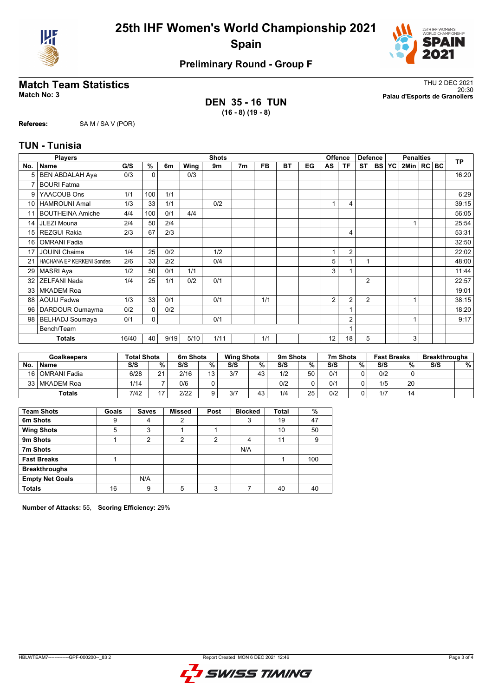



# **Preliminary Round - Group F**

### **DEN 35 - 16 TUN (16 - 8) (19 - 8)**

**Match Team Statistics** Thu 2 DEC 2021 20:30 **Match No: 3 Palau d'Esports de Granollers**

**Referees:** SA M / SA V (POR)

### **TUN - Tunisia**

|      | <b>Players</b>                   |       |          |      |      | <b>Shots</b> |                |           |    |    |    | <b>Offence</b> | <b>Defence</b> |           |           | <b>Penalties</b> |  | <b>TP</b> |
|------|----------------------------------|-------|----------|------|------|--------------|----------------|-----------|----|----|----|----------------|----------------|-----------|-----------|------------------|--|-----------|
| No.  | <b>Name</b>                      | G/S   | %        | 6m   | Wing | 9m           | 7 <sub>m</sub> | <b>FB</b> | ВT | EG | AS | ΤF             | ST             | <b>BS</b> | <b>YC</b> | 2Min   RC   BC   |  |           |
| 5    | <b>BEN ABDALAH Aya</b>           | 0/3   | $\Omega$ |      | 0/3  |              |                |           |    |    |    |                |                |           |           |                  |  | 16:20     |
| 7    | <b>BOURI Fatma</b>               |       |          |      |      |              |                |           |    |    |    |                |                |           |           |                  |  |           |
| 9    | YAACOUB Ons                      | 1/1   | 100      | 1/1  |      |              |                |           |    |    |    |                |                |           |           |                  |  | 6:29      |
| 10   | <b>HAMROUNI Amal</b>             | 1/3   | 33       | 1/1  |      | 0/2          |                |           |    |    |    | 4              |                |           |           |                  |  | 39:15     |
| 11   | <b>BOUTHEINA Amiche</b>          | 4/4   | 100      | 0/1  | 4/4  |              |                |           |    |    |    |                |                |           |           |                  |  | 56:05     |
| 14   | JLEZI Mouna                      | 2/4   | 50       | 2/4  |      |              |                |           |    |    |    |                |                |           |           |                  |  | 25:54     |
| 15   | <b>REZGUI Rakia</b>              | 2/3   | 67       | 2/3  |      |              |                |           |    |    |    | 4              |                |           |           |                  |  | 53:31     |
| 16   | <b>OMRANI Fadia</b>              |       |          |      |      |              |                |           |    |    |    |                |                |           |           |                  |  | 32:50     |
| 17   | <b>JOUINI Chaima</b>             | 1/4   | 25       | 0/2  |      | 1/2          |                |           |    |    |    | $\overline{2}$ |                |           |           |                  |  | 22:02     |
| 21   | <b>HACHANA EP KERKENI Sondes</b> | 2/6   | 33       | 2/2  |      | 0/4          |                |           |    |    | 5  |                | 1              |           |           |                  |  | 48:00     |
| 29   | <b>MASRI Aya</b>                 | 1/2   | 50       | 0/1  | 1/1  |              |                |           |    |    | 3  |                |                |           |           |                  |  | 11:44     |
| 32   | <b>ZELFANI Nada</b>              | 1/4   | 25       | 1/1  | 0/2  | 0/1          |                |           |    |    |    |                | $\overline{2}$ |           |           |                  |  | 22:57     |
| 33   | <b>MKADEM Roa</b>                |       |          |      |      |              |                |           |    |    |    |                |                |           |           |                  |  | 19:01     |
| 88   | <b>AOUIJ Fadwa</b>               | 1/3   | 33       | 0/1  |      | 0/1          |                | 1/1       |    |    | 2  | $\overline{2}$ | $\overline{2}$ |           |           |                  |  | 38:15     |
| 96   | DARDOUR Oumayma                  | 0/2   | $\Omega$ | 0/2  |      |              |                |           |    |    |    |                |                |           |           |                  |  | 18:20     |
| 98 l | BELHADJ Soumaya                  | 0/1   | 0        |      |      | 0/1          |                |           |    |    |    | $\overline{2}$ |                |           |           |                  |  | 9:17      |
|      | Bench/Team                       |       |          |      |      |              |                |           |    |    |    |                |                |           |           |                  |  |           |
|      | Totals                           | 16/40 | 40       | 9/19 | 5/10 | 1/11         |                | 1/1       |    |    | 12 | 18             | 5              |           |           | 3                |  |           |

|      | Goalkeepers    | <b>Total Shots</b> |    | 6m Shots |    | <b>Wing Shots</b> |    | 9m Shots |    | 7m Shots |   | <b>Fast Breaks</b> |    | <b>Breakthroughs</b> |   |
|------|----------------|--------------------|----|----------|----|-------------------|----|----------|----|----------|---|--------------------|----|----------------------|---|
| No.  | <b>Name</b>    | S/S                | %  | S/S      | %  | S/S               | %  | S/S      | %  | S/S      | % | S/S                | %  | S/S                  | % |
| 16 l | l OMRANI Fadia | 6/28               | 21 | 2/16     | 13 | 3/7               | 43 | 1/2      | 50 | 0/1      |   | 0/2                |    |                      |   |
| 33   | l MKADEM Roa   | 1/14               |    | 0/6      |    |                   |    | 0/2      | 0  | 0/1      |   | 1/5                | 20 |                      |   |
|      | <b>Totals</b>  | 7/42               | 17 | 2/22     | 9  | 3/7               | 43 | 1/4      | 25 | 0/2      |   | 1/7                | 14 |                      |   |

| <b>Team Shots</b>      | Goals | <b>Saves</b> | <b>Missed</b> | Post | <b>Blocked</b> | <b>Total</b> | %   |
|------------------------|-------|--------------|---------------|------|----------------|--------------|-----|
| 6m Shots               | 9     | 4            | 2             |      | 3              | 19           | 47  |
| <b>Wing Shots</b>      | 5     | 3            |               |      |                | 10           | 50  |
| 9m Shots               |       | 2            | 2             | າ    | Λ              | 11           | 9   |
| 7m Shots               |       |              |               |      | N/A            |              |     |
| <b>Fast Breaks</b>     |       |              |               |      |                |              | 100 |
| <b>Breakthroughs</b>   |       |              |               |      |                |              |     |
| <b>Empty Net Goals</b> |       | N/A          |               |      |                |              |     |
| <b>Totals</b>          | 16    | 9            | 5             | ว    |                | 40           | 40  |

**Number of Attacks:** 55, **Scoring Efficiency:** 29%